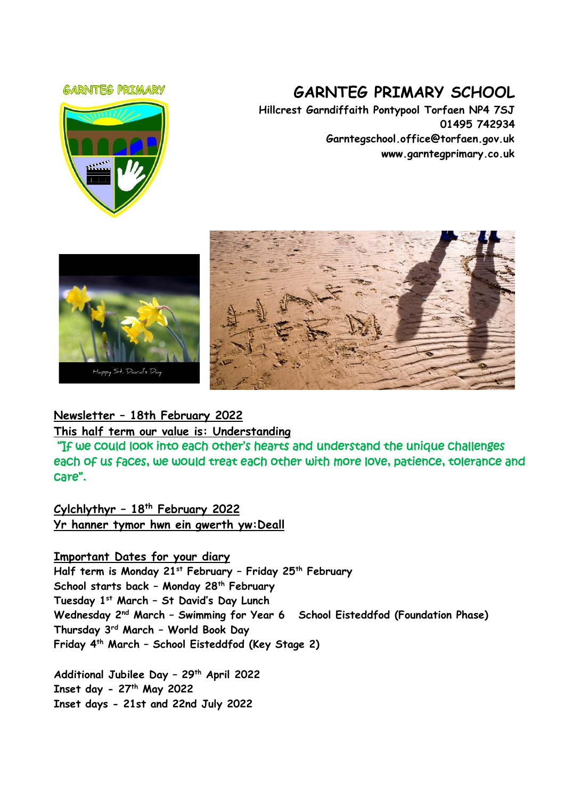#### **GARNTEG PRIMARY**



# **GARNTEG PRIMARY SCHOOL**

**Hillcrest Garndiffaith Pontypool Torfaen NP4 7SJ 01495 742934 Garntegschool.office@torfaen.gov.uk www.garntegprimary.co.uk**





# **Newsletter – 18th February 2022**

#### **This half term our value is: Understanding**

 "If we could look into each other's hearts and understand the unique challenges each of us faces, we would treat each other with more love, patience, tolerance and care".

**Cylchlythyr – 18th February 2022 Yr hanner tymor hwn ein gwerth yw:Deall**

#### **Important Dates for your diary**

**Half term is Monday 21st February – Friday 25th February School starts back – Monday 28th February Tuesday 1st March – St David's Day Lunch Wednesday 2nd March – Swimming for Year 6 School Eisteddfod (Foundation Phase) Thursday 3rd March – World Book Day Friday 4th March – School Eisteddfod (Key Stage 2)**

**Additional Jubilee Day – 29th April 2022 Inset day - 27th May 2022 Inset days - 21st and 22nd July 2022**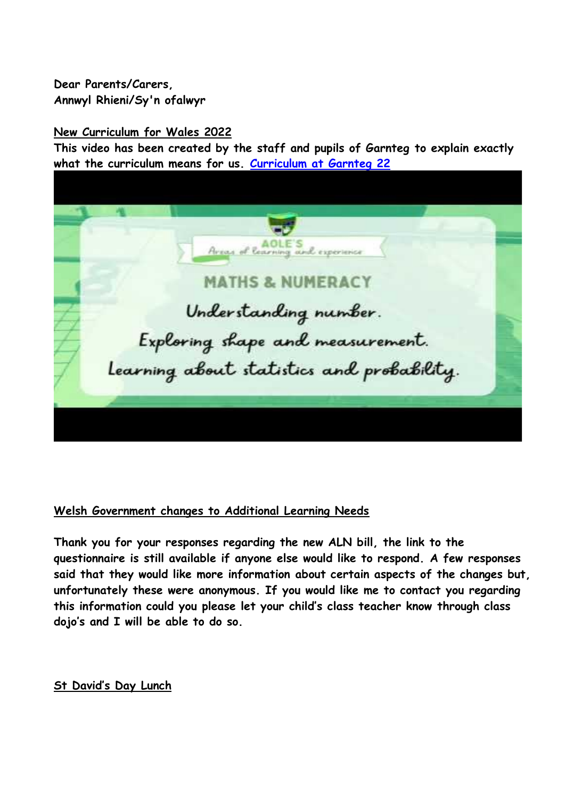# **Dear Parents/Carers, Annwyl Rhieni/Sy'n ofalwyr**

## **New Curriculum for Wales 2022**

**This video has been created by the staff and pupils of Garnteg to explain exactly what the curriculum means for us. [Curriculum at Garnteg 22](https://youtu.be/dBZZi_QU9Io)**

ning and experience **MATHS & NUMERACY** Understanding number. Exploring shape and measurement. Learning about statistics and probability.

# **Welsh Government changes to Additional Learning Needs**

**Thank you for your responses regarding the new ALN bill, the link to the questionnaire is still available if anyone else would like to respond. A few responses said that they would like more information about certain aspects of the changes but, unfortunately these were anonymous. If you would like me to contact you regarding this information could you please let your child's class teacher know through class dojo's and I will be able to do so.**

# **St David's Day Lunch**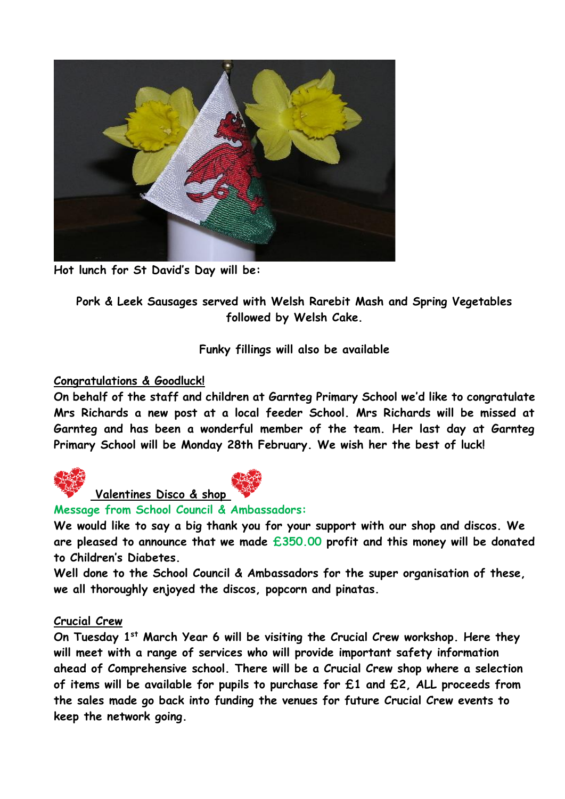

**Hot lunch for St David's Day will be:**

**Pork & Leek Sausages served with Welsh Rarebit Mash and Spring Vegetables followed by Welsh Cake.**

**Funky fillings will also be available**

#### **Congratulations & Goodluck!**

**On behalf of the staff and children at Garnteg Primary School we'd like to congratulate Mrs Richards a new post at a local feeder School. Mrs Richards will be missed at Garnteg and has been a wonderful member of the team. Her last day at Garnteg Primary School will be Monday 28th February. We wish her the best of luck!**





#### **Message from School Council & Ambassadors:**

**We would like to say a big thank you for your support with our shop and discos. We are pleased to announce that we made £350.00 profit and this money will be donated to Children's Diabetes.** 

**Well done to the School Council & Ambassadors for the super organisation of these, we all thoroughly enjoyed the discos, popcorn and pinatas.** 

#### **Crucial Crew**

**On Tuesday 1st March Year 6 will be visiting the Crucial Crew workshop. Here they will meet with a range of services who will provide important safety information ahead of Comprehensive school. There will be a Crucial Crew shop where a selection of items will be available for pupils to purchase for £1 and £2, ALL proceeds from the sales made go back into funding the venues for future Crucial Crew events to keep the network going.**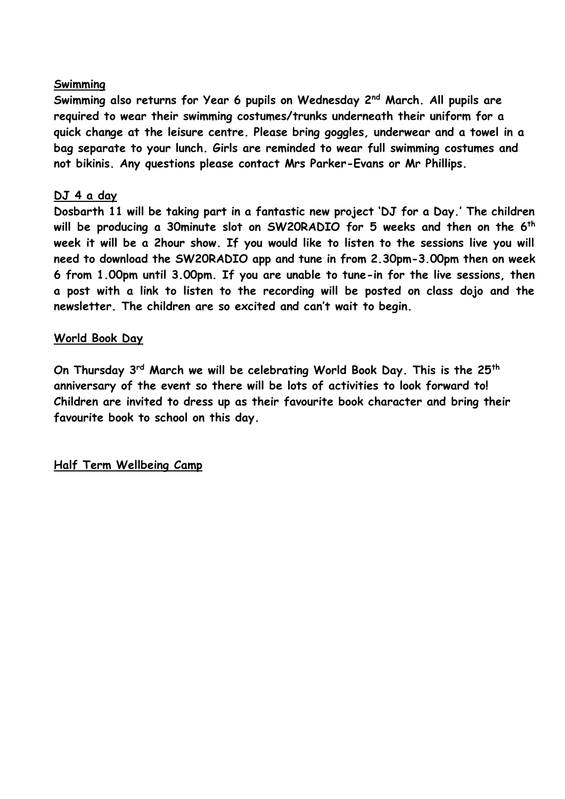## **Swimming**

**Swimming also returns for Year 6 pupils on Wednesday 2nd March. All pupils are required to wear their swimming costumes/trunks underneath their uniform for a quick change at the leisure centre. Please bring goggles, underwear and a towel in a bag separate to your lunch. Girls are reminded to wear full swimming costumes and not bikinis. Any questions please contact Mrs Parker-Evans or Mr Phillips.**

## **DJ 4 a day**

**Dosbarth 11 will be taking part in a fantastic new project 'DJ for a Day.' The children will be producing a 30minute slot on SW20RADIO for 5 weeks and then on the 6th week it will be a 2hour show. If you would like to listen to the sessions live you will need to download the SW20RADIO app and tune in from 2.30pm-3.00pm then on week 6 from 1.00pm until 3.00pm. If you are unable to tune-in for the live sessions, then a post with a link to listen to the recording will be posted on class dojo and the newsletter. The children are so excited and can't wait to begin.**

## **World Book Day**

**On Thursday 3rd March we will be celebrating World Book Day. This is the 25th anniversary of the event so there will be lots of activities to look forward to! Children are invited to dress up as their favourite book character and bring their favourite book to school on this day.**

**Half Term Wellbeing Camp**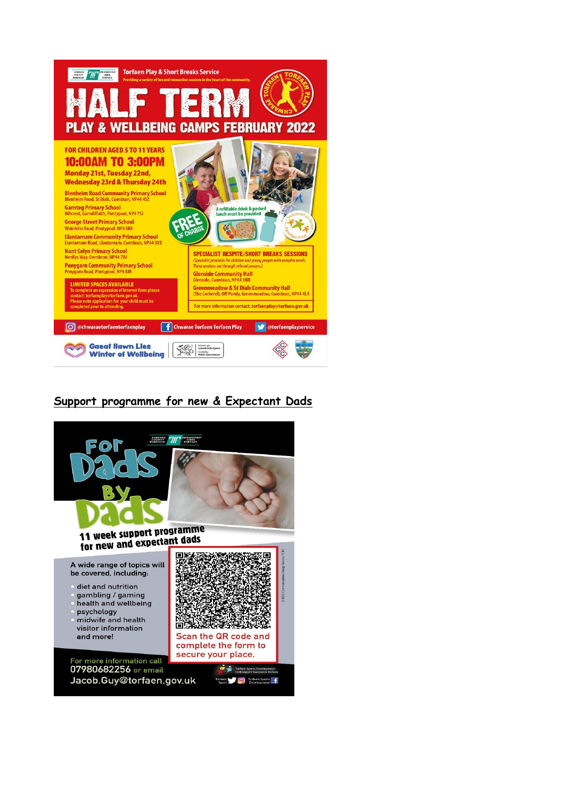

# **Support programme for new & Expectant Dads**

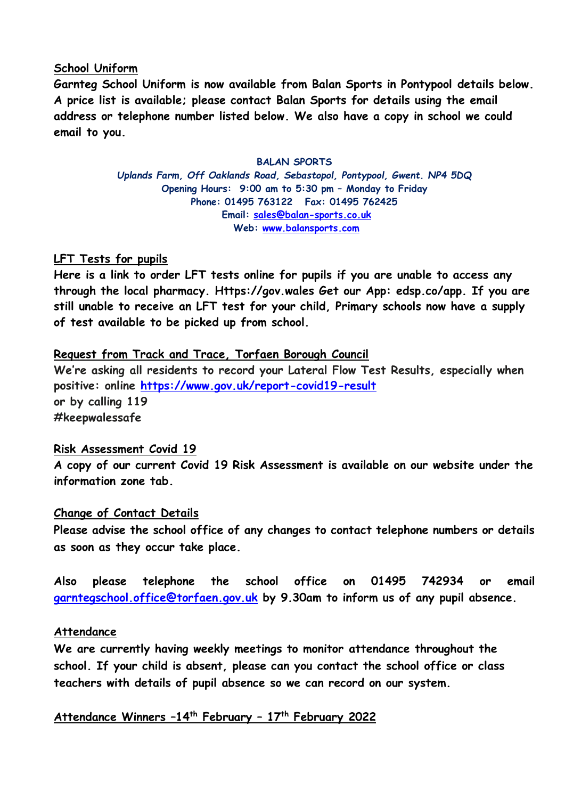#### **School Uniform**

**Garnteg School Uniform is now available from Balan Sports in Pontypool details below. A price list is available; please contact Balan Sports for details using the email address or telephone number listed below. We also have a copy in school we could email to you.**

#### **BALAN SPORTS**

*Uplands Farm, Off Oaklands Road, Sebastopol, Pontypool, Gwent. NP4 5DQ* **Opening Hours: 9:00 am to 5:30 pm – Monday to Friday Phone: 01495 763122 Fax: 01495 762425 Email: [sales@balan-sports.co.uk](mailto:sales@balan-sports.co.uk) Web: [www.balansports.com](https://eur03.safelinks.protection.outlook.com/?url=http%3A%2F%2Fwww.balansports.com%2F&data=04%7C01%7CSharron.Williams%40torfaen.gov.uk%7Ca80cdb7d45af4e7320ae08d9e56b74e2%7C2c4d0079c52c4bb3b3cad8eaf1b6b7d5%7C0%7C0%7C637793071943969031%7CUnknown%7CTWFpbGZsb3d8eyJWIjoiMC4wLjAwMDAiLCJQIjoiV2luMzIiLCJBTiI6Ik1haWwiLCJXVCI6Mn0%3D%7C3000&sdata=%2FrtfbrCfGLLegnTw%2FZ46GZ4zpz23WAE2bcGIRUBZnxQ%3D&reserved=0)**

## **LFT Tests for pupils**

**Here is a link to order LFT tests online for pupils if you are unable to access any through the local pharmacy. Https://gov.wales Get our App: edsp.co/app. If you are still unable to receive an LFT test for your child, Primary schools now have a supply of test available to be picked up from school.**

## **Request from Track and Trace, Torfaen Borough Council**

**We're asking all residents to record your Lateral Flow Test Results, especially when positive: online [https://www.gov.uk/report-covid19-result](https://eur03.safelinks.protection.outlook.com/?url=https%3A%2F%2Fscanmail.trustwave.com%2F%3Fc%3D261%26d%3DzLvc4fCyhjZft3Z9E_k9Mt_moCL0tnrCFqEYNAiykg%26u%3Dhttps%253a%252f%252femea01.safelinks.protection.outlook.com%252f%253furl%253dhttps%25253A%25252F%25252Fwww.gov.uk%25252Freport-covid19-result%2526data%253d04%25257C01%25257C%25257Ce5f565d7534b4691b74608d9d43f3811%25257C84df9e7fe9f640afb435aaaaaaaaaaaa%25257C1%25257C0%25257C637774190252669384%25257CUnknown%25257CTWFpbGZsb3d8eyJWIjoiMC4wLjAwMDAiLCJQIjoiV2luMzIiLCJBTiI6Ik1haWwiLCJXVCI6Mn0%25253D%25257C3000%2526sdata%253dqftNUncb9TmeugmOV50U00SjpKBAGP2KucQJyzx%25252Bupo%25253D%2526reserved%253d0&data=04%7C01%7CSharron.Williams%40torfaen.gov.uk%7C6c427a428e094bcf6cb108d9d6a015cb%7C2c4d0079c52c4bb3b3cad8eaf1b6b7d5%7C0%7C0%7C637776805314522285%7CUnknown%7CTWFpbGZsb3d8eyJWIjoiMC4wLjAwMDAiLCJQIjoiV2luMzIiLCJBTiI6Ik1haWwiLCJXVCI6Mn0%3D%7C3000&sdata=TofgKOVmjydR7IoCB1pTW4PhPDoiOrC26dJp0JDzAfU%3D&reserved=0) or by calling 119 #keepwalessafe**

#### **Risk Assessment Covid 19**

**A copy of our current Covid 19 Risk Assessment is available on our website under the information zone tab.**

#### **Change of Contact Details**

**Please advise the school office of any changes to contact telephone numbers or details as soon as they occur take place.** 

**Also please telephone the school office on 01495 742934 or email [garntegschool.office@torfaen.gov.uk](mailto:garntegschool.office@torfaen.gov.uk) by 9.30am to inform us of any pupil absence.**

#### **Attendance**

**We are currently having weekly meetings to monitor attendance throughout the school. If your child is absent, please can you contact the school office or class teachers with details of pupil absence so we can record on our system.**

**Attendance Winners –14th February – 17th February 2022**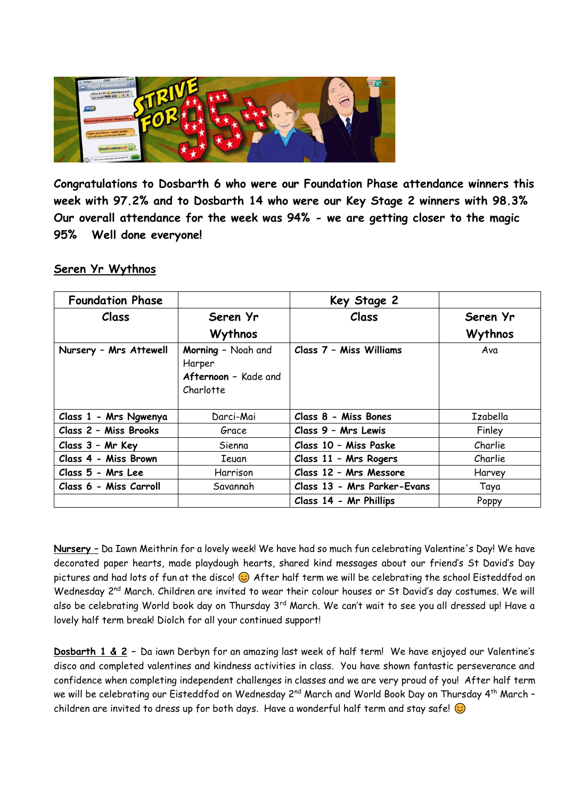

**Congratulations to Dosbarth 6 who were our Foundation Phase attendance winners this week with 97.2% and to Dosbarth 14 who were our Key Stage 2 winners with 98.3% Our overall attendance for the week was 94% - we are getting closer to the magic 95% Well done everyone!**

#### **Seren Yr Wythnos**

| <b>Foundation Phase</b> |                                                                   | Key Stage 2                 |          |
|-------------------------|-------------------------------------------------------------------|-----------------------------|----------|
| Class                   | Seren Yr                                                          | Class                       | Seren Yr |
|                         | Wythnos                                                           |                             | Wythnos  |
| Nursery - Mrs Attewell  | Morning - Noah and<br>Harper<br>Afternoon - Kade and<br>Charlotte | Class 7 - Miss Williams     | Ava      |
| Class 1 - Mrs Ngwenya   | Darci-Mai                                                         | Class 8 - Miss Bones        | Izabella |
| Class 2 - Miss Brooks   | Grace                                                             | Class 9 - Mrs Lewis         | Finley   |
| Class 3 - Mr Key        | Sienna                                                            | Class 10 - Miss Paske       | Charlie  |
| Class 4 - Miss Brown    | Ieuan                                                             | Class 11 - Mrs Rogers       | Charlie  |
| Class 5 - Mrs Lee       | Harrison                                                          | Class 12 - Mrs Messore      | Harvey   |
| Class 6 - Miss Carroll  | Savannah                                                          | Class 13 - Mrs Parker-Evans | Taya     |
|                         |                                                                   | Class 14 - Mr Phillips      | Poppy    |

**Nursery –** Da Iawn Meithrin for a lovely week! We have had so much fun celebrating Valentine's Day! We have decorated paper hearts, made playdough hearts, shared kind messages about our friend's St David's Day pictures and had lots of fun at the disco!  $\odot$  After half term we will be celebrating the school Eisteddfod on Wednesday 2nd March. Children are invited to wear their colour houses or St David's day costumes. We will also be celebrating World book day on Thursday 3<sup>rd</sup> March. We can't wait to see you all dressed up! Have a lovely half term break! Diolch for all your continued support!

**Dosbarth 1 & 2 –** Da iawn Derbyn for an amazing last week of half term! We have enjoyed our Valentine's disco and completed valentines and kindness activities in class. You have shown fantastic perseverance and confidence when completing independent challenges in classes and we are very proud of you! After half term we will be celebrating our Eisteddfod on Wednesday 2<sup>nd</sup> March and World Book Day on Thursday 4<sup>th</sup> March children are invited to dress up for both days. Have a wonderful half term and stay safe!  $\odot$